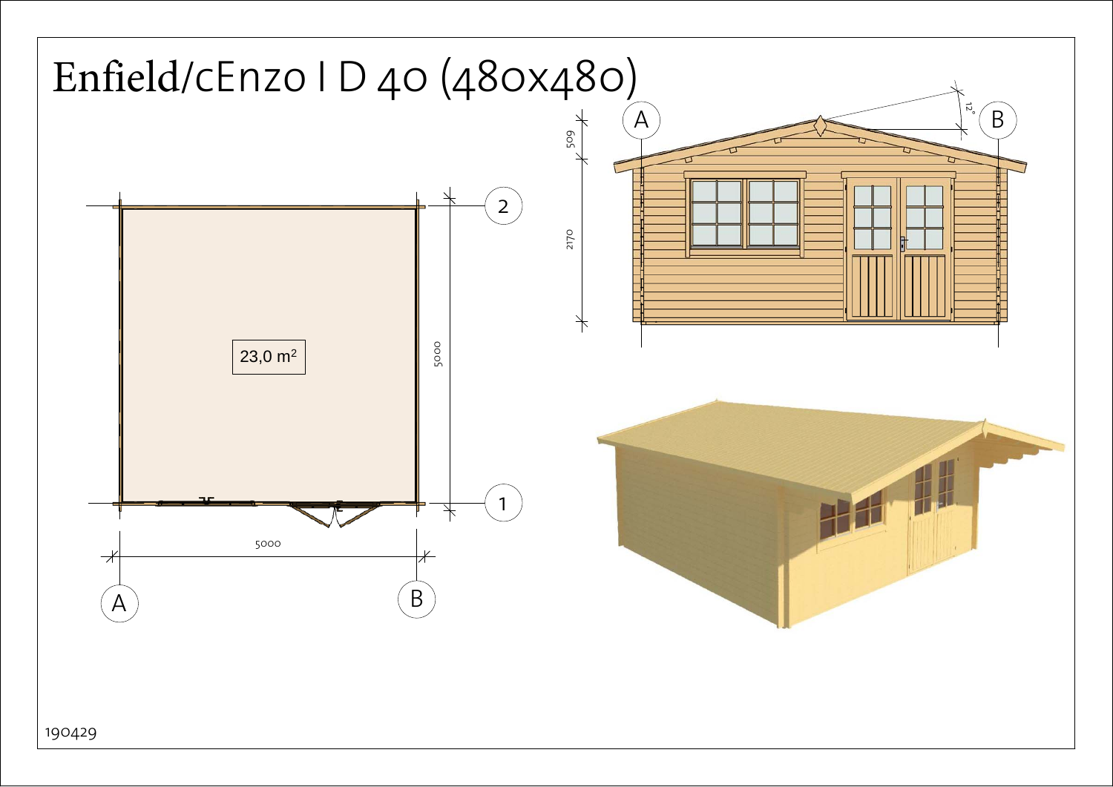<span id="page-0-0"></span>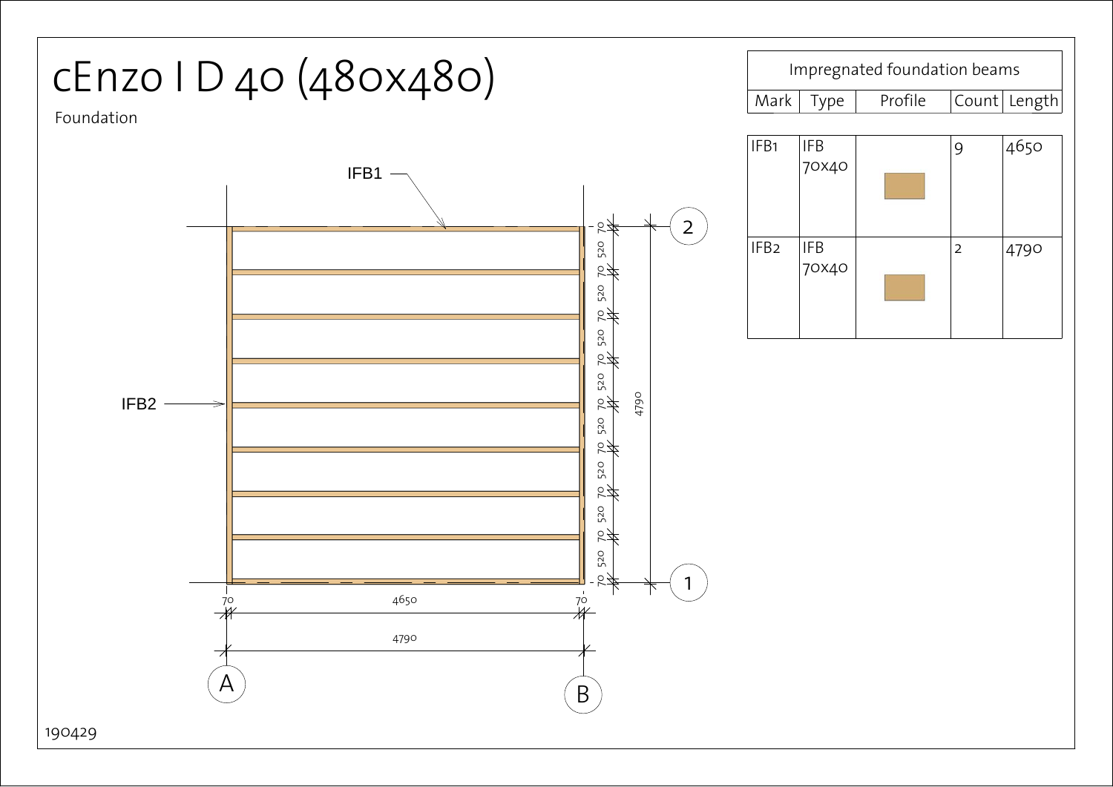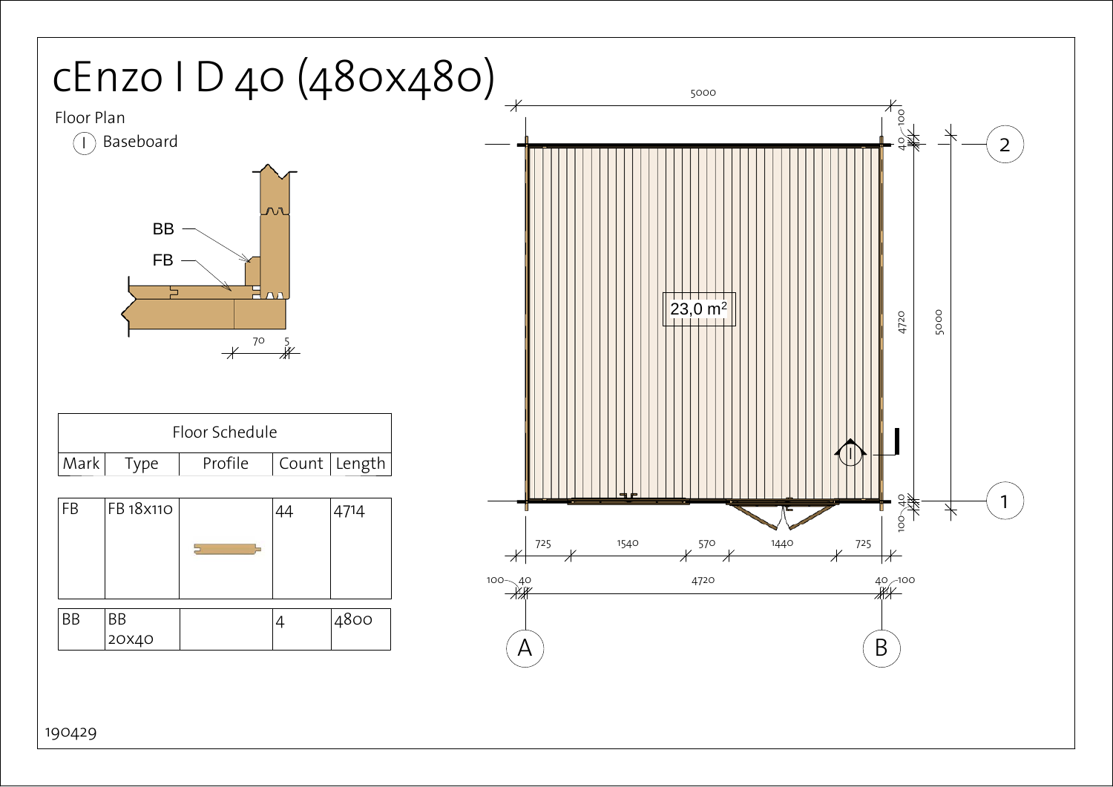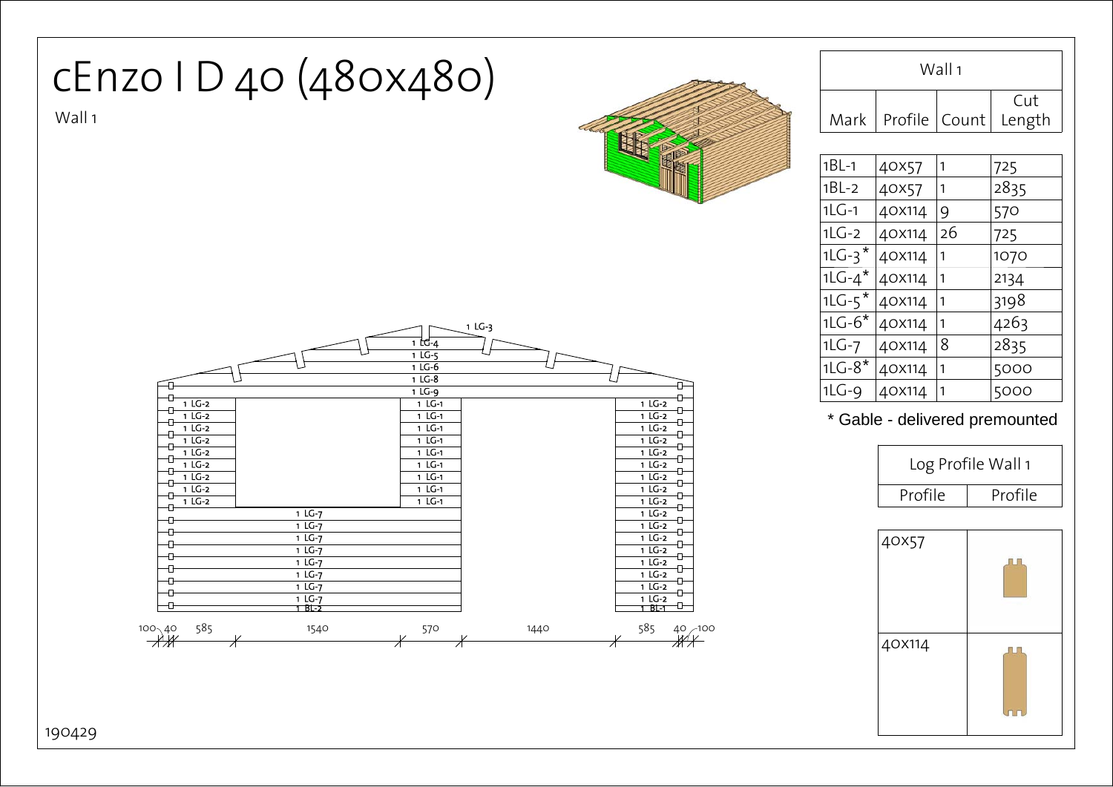

190429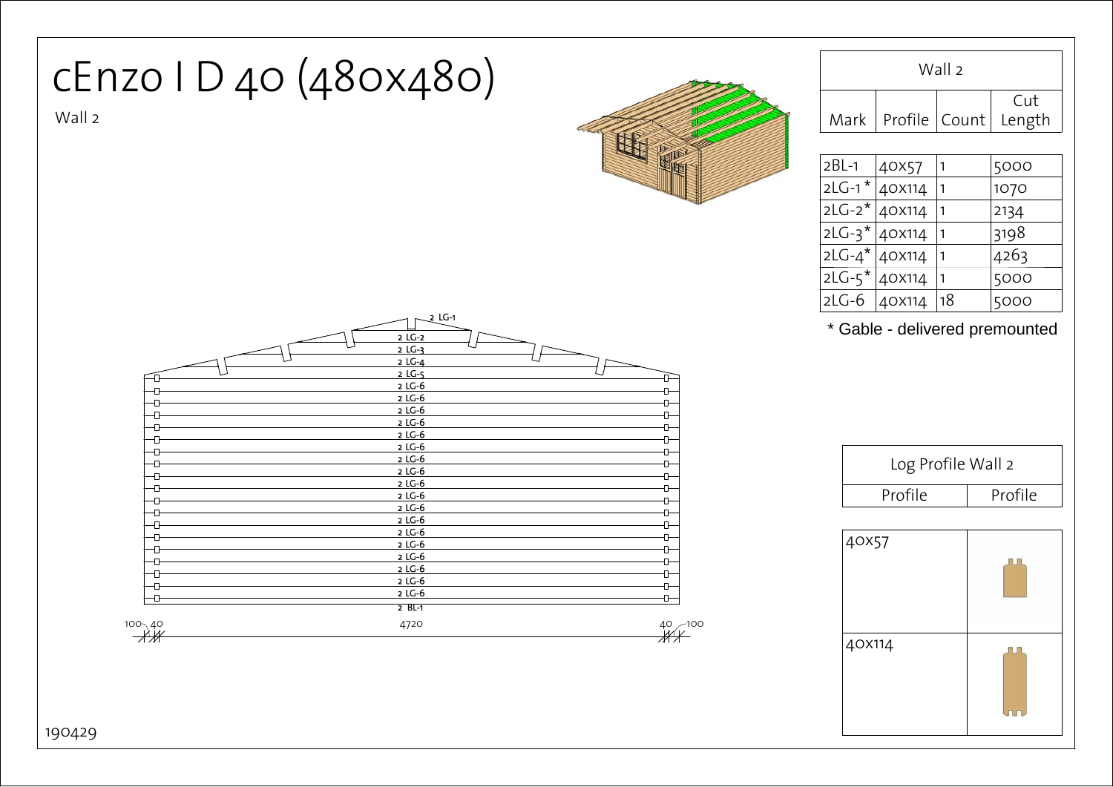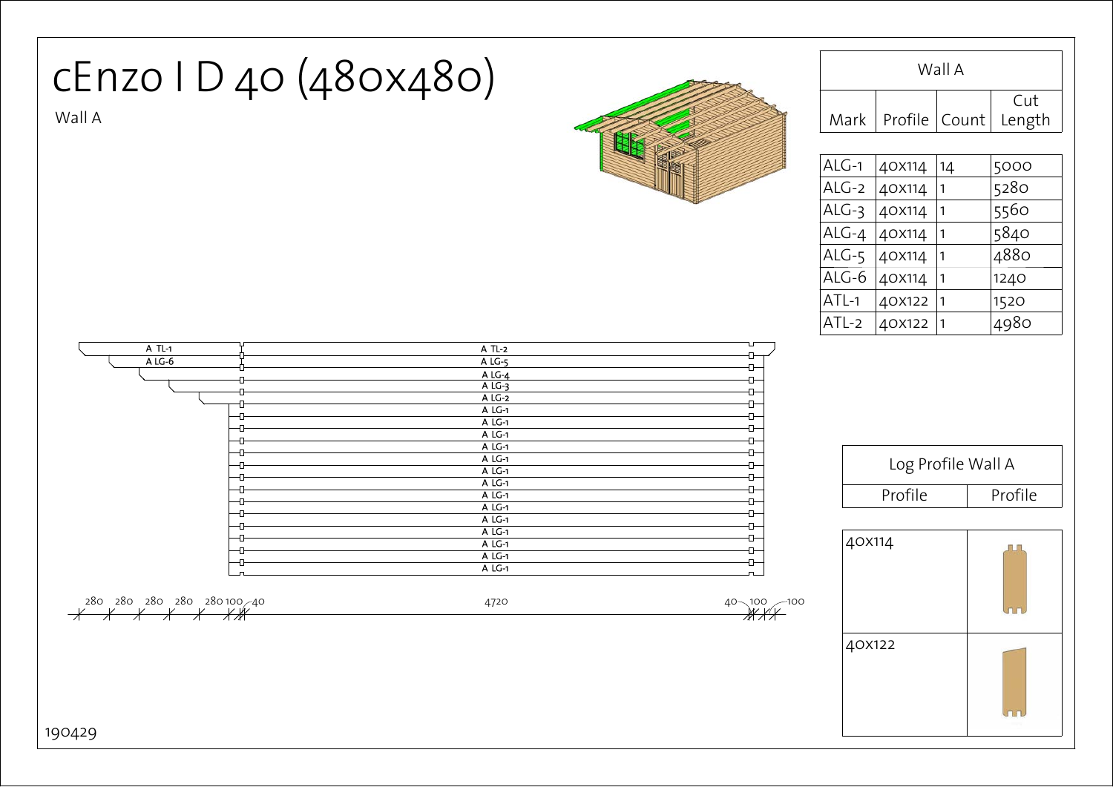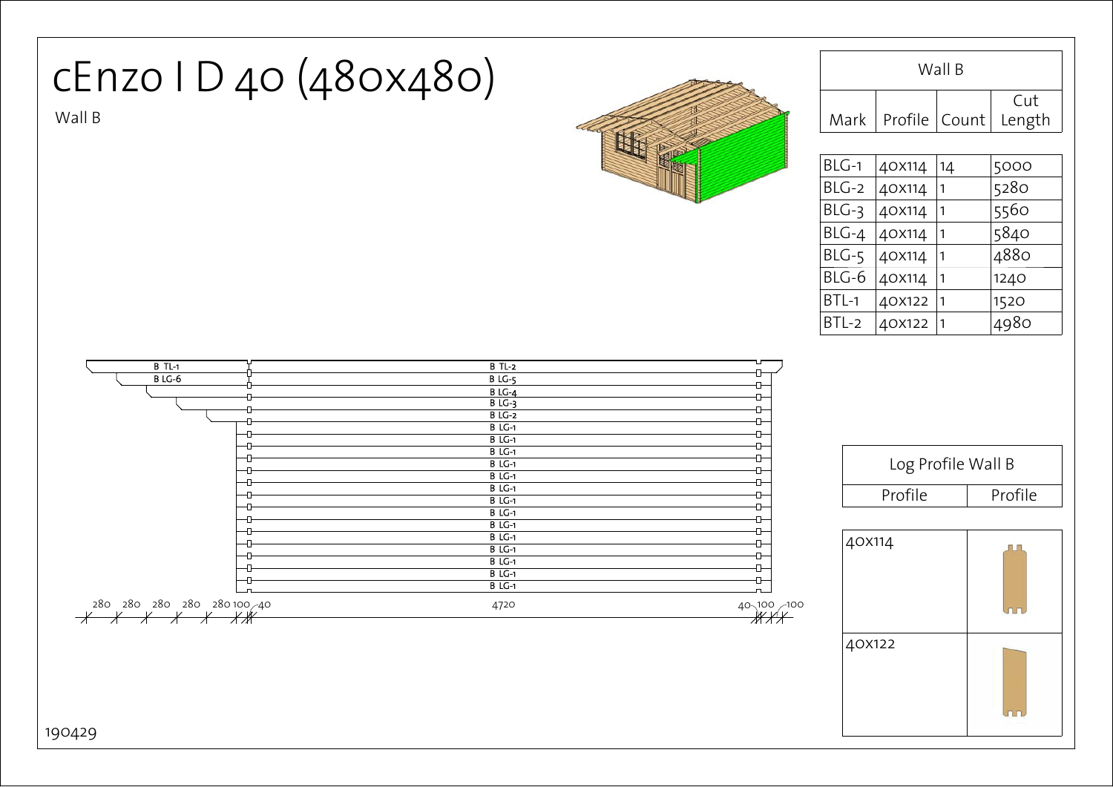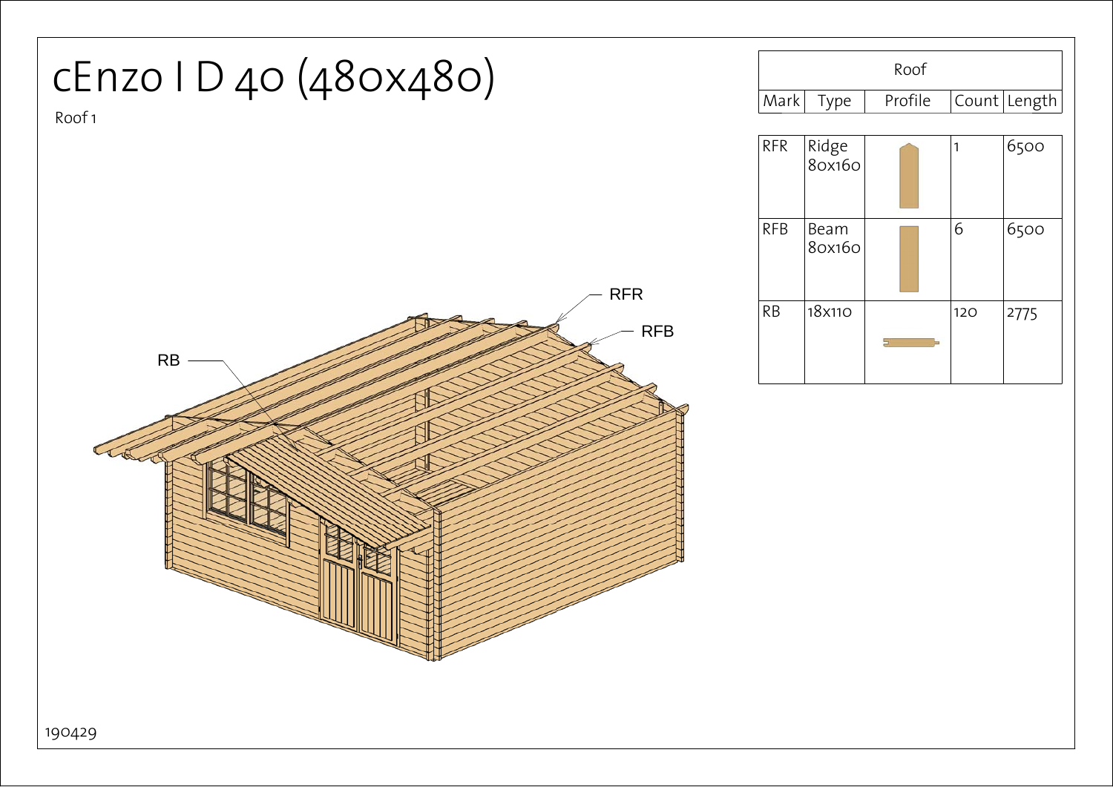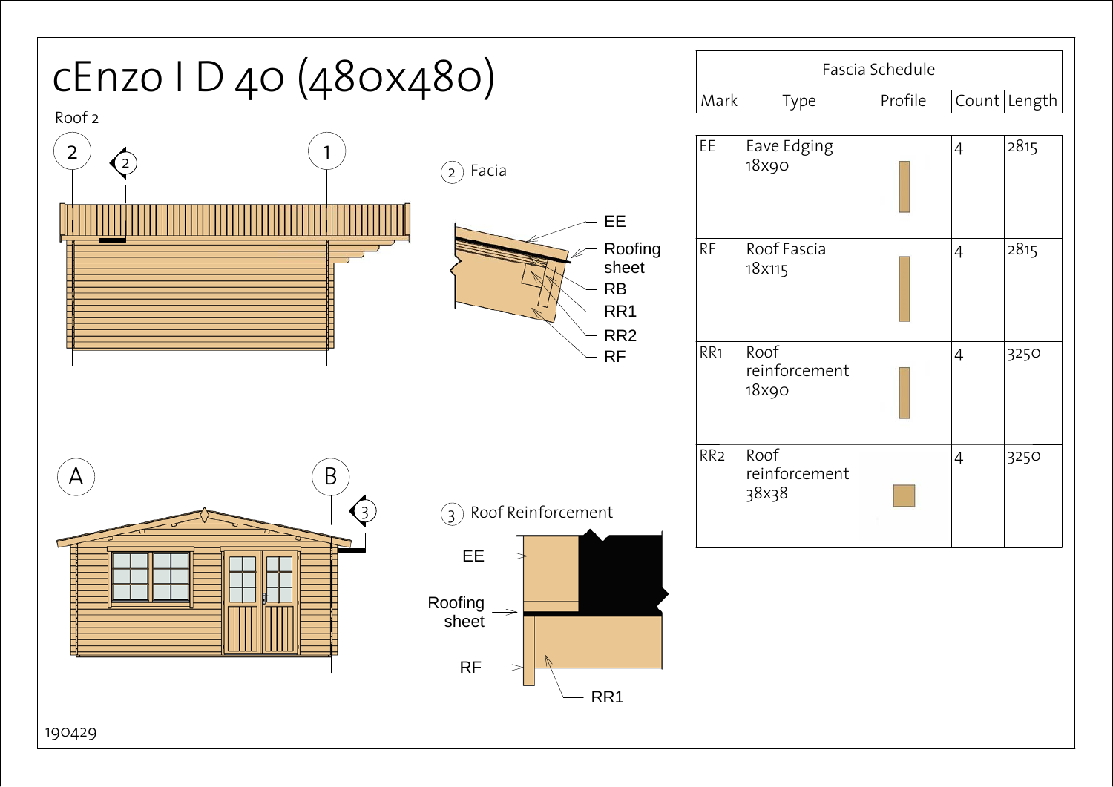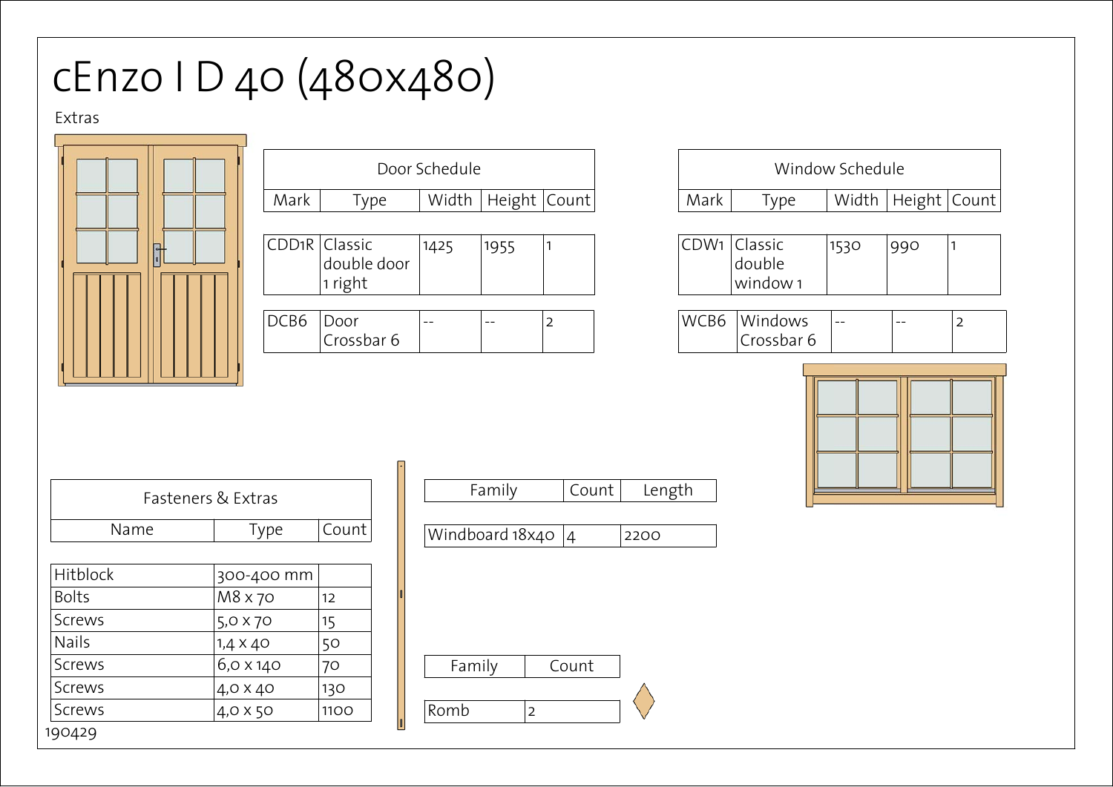## cEnzo I D 40 (480x480)

## Extras



| Door Schedule |                                         |      |                        |   |  |
|---------------|-----------------------------------------|------|------------------------|---|--|
| Mark          | <b>Type</b>                             |      | Width   Height   Count |   |  |
|               |                                         |      |                        |   |  |
|               | CDD1R Classic<br>double door<br>1 right | 1425 | 1955                   |   |  |
|               |                                         |      |                        |   |  |
| DCB6          | Door<br>Crossbar 6                      |      |                        | 2 |  |

| Window Schedule |                                    |      |                        |  |
|-----------------|------------------------------------|------|------------------------|--|
| Mark            | Type                               |      | Width   Height   Count |  |
|                 | CDW1 Classic<br>double<br>window 1 | 1530 | 990                    |  |
|                 |                                    |      |                        |  |

| ∽<br>∠ | WCB6 | Windows    | $- -$ | $- -$ |  |
|--------|------|------------|-------|-------|--|
|        |      | rossbar 6: |       |       |  |



| Fasteners & Extras           |                 |      |  |  |  |
|------------------------------|-----------------|------|--|--|--|
| Count<br>Name<br><b>Type</b> |                 |      |  |  |  |
|                              |                 |      |  |  |  |
| Hitblock                     | 300-400 mm      |      |  |  |  |
| <b>Bolts</b>                 | M8 x 70         | 12   |  |  |  |
| <b>Screws</b>                | $5,0 \times 70$ | 15   |  |  |  |
| <b>Nails</b>                 | $1,4 \times 40$ | 50   |  |  |  |
| Screws                       | 6,0 x 140       | 70   |  |  |  |
| <b>Screws</b>                | 4,0 X 40        | 130  |  |  |  |
| <b>Screws</b>                | 4,0 X 50        | 1100 |  |  |  |
| 190429                       |                 |      |  |  |  |

| Windboard $18x40$ |  |  |
|-------------------|--|--|
|-------------------|--|--|

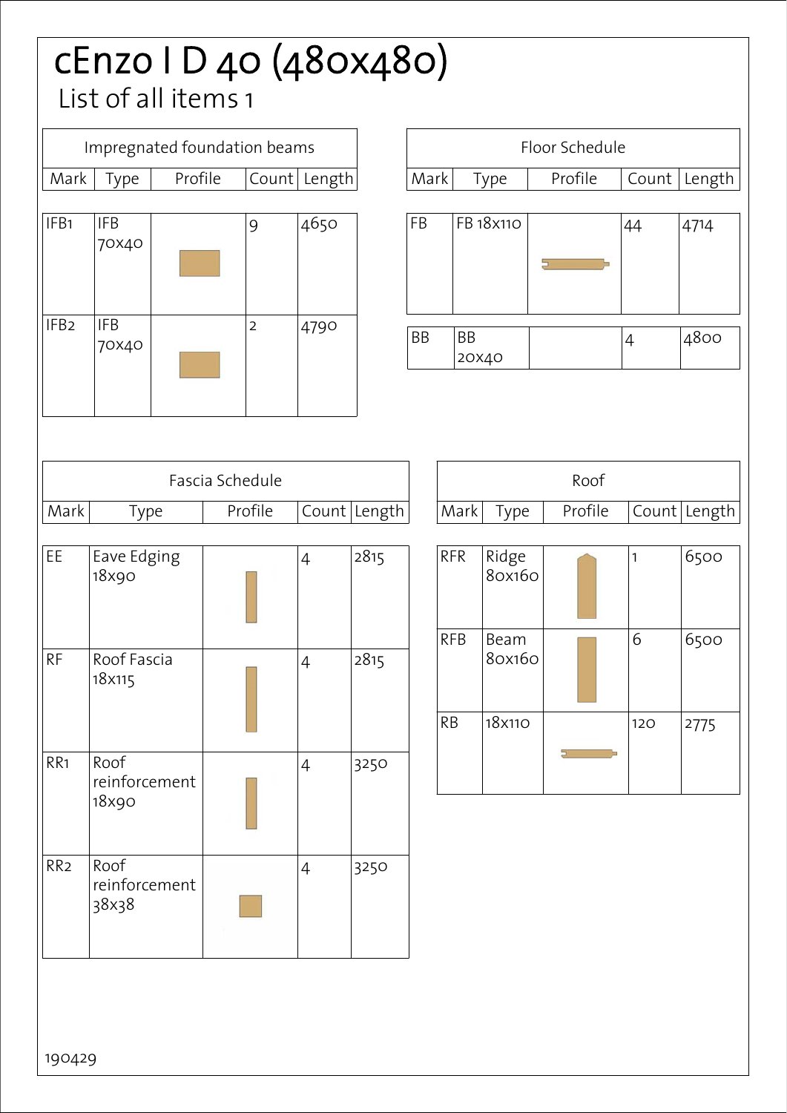## cEnzo I D 40 (480x480) List of all items 1

|                  | Impregnated foundation beams   |  |                  |         |                |              |
|------------------|--------------------------------|--|------------------|---------|----------------|--------------|
| Mark             | Type                           |  | Profile<br>Count |         | Length         |              |
| IFB1             | <b>IFB</b><br>70×40            |  |                  | 9       | 4650           |              |
| IFB <sub>2</sub> | <b>IFB</b><br>70×40            |  |                  | 2       | 4790           |              |
|                  |                                |  | Fascia Schedule  |         |                |              |
| Mark             | Type                           |  |                  | Profile |                | Count Length |
|                  |                                |  |                  |         |                |              |
| EE               | Eave Edging<br>18x90           |  |                  |         | $\overline{4}$ | 2815         |
| <b>RF</b>        | Roof Fascia<br>18x115          |  |                  |         | $\overline{4}$ | 2815         |
| RR <sub>1</sub>  | Roof<br>reinforcement<br>18x90 |  |                  |         | 4              | 3250         |
| RR <sub>2</sub>  | Roof<br>reinforcement<br>38x38 |  |                  |         | $\overline{4}$ | 3250         |

| Floor Schedule |            |             |                 |         |         |                |              |
|----------------|------------|-------------|-----------------|---------|---------|----------------|--------------|
| Mark           |            |             | Type            | Profile |         | Count          | Length       |
| FB             |            |             | FB 18x110       |         |         | 44             | 4714         |
| <b>BB</b>      |            | BB<br>20X40 |                 |         |         | $\overline{4}$ | 4800         |
| Roof           |            |             |                 |         |         |                |              |
|                |            | Mark        | Type            |         | Profile |                | Count Length |
|                | <b>RFR</b> |             | Ridge<br>80x160 |         |         | $\mathbf{1}$   | 6500         |
|                | <b>RFB</b> |             | Beam<br>80x160  |         |         | 6              | 6500         |
|                | RB         |             | 18x110          |         |         | 120            | 2775         |